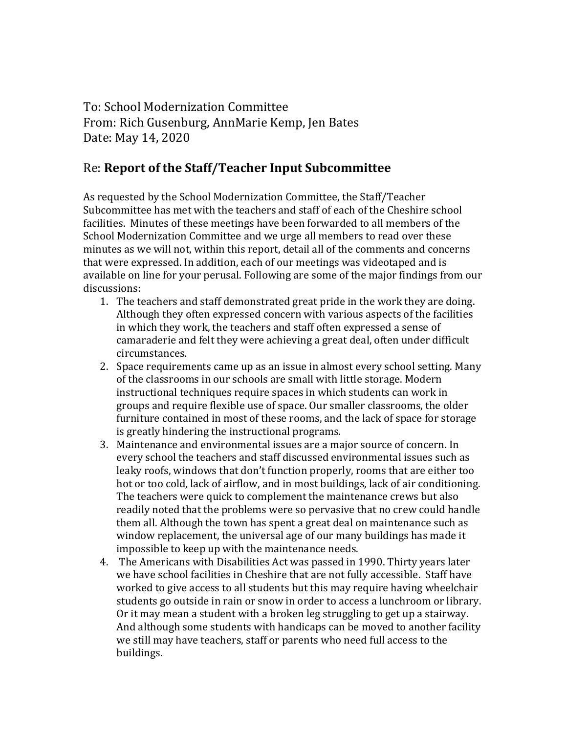To: School Modernization Committee From: Rich Gusenburg, AnnMarie Kemp, Jen Bates Date: May 14, 2020

## Re: **Report of the Staff/Teacher Input Subcommittee**

As requested by the School Modernization Committee, the Staff/Teacher Subcommittee has met with the teachers and staff of each of the Cheshire school facilities. Minutes of these meetings have been forwarded to all members of the School Modernization Committee and we urge all members to read over these minutes as we will not, within this report, detail all of the comments and concerns that were expressed. In addition, each of our meetings was videotaped and is available on line for your perusal. Following are some of the major findings from our discussions:

- 1. The teachers and staff demonstrated great pride in the work they are doing. Although they often expressed concern with various aspects of the facilities in which they work, the teachers and staff often expressed a sense of camaraderie and felt they were achieving a great deal, often under difficult circumstances.
- 2. Space requirements came up as an issue in almost every school setting. Many of the classrooms in our schools are small with little storage. Modern instructional techniques require spaces in which students can work in groups and require flexible use of space. Our smaller classrooms, the older furniture contained in most of these rooms, and the lack of space for storage is greatly hindering the instructional programs.
- 3. Maintenance and environmental issues are a major source of concern. In every school the teachers and staff discussed environmental issues such as leaky roofs, windows that don't function properly, rooms that are either too hot or too cold, lack of airflow, and in most buildings, lack of air conditioning. The teachers were quick to complement the maintenance crews but also readily noted that the problems were so pervasive that no crew could handle them all. Although the town has spent a great deal on maintenance such as window replacement, the universal age of our many buildings has made it impossible to keep up with the maintenance needs.
- 4. The Americans with Disabilities Act was passed in 1990. Thirty years later we have school facilities in Cheshire that are not fully accessible. Staff have worked to give access to all students but this may require having wheelchair students go outside in rain or snow in order to access a lunchroom or library. Or it may mean a student with a broken leg struggling to get up a stairway. And although some students with handicaps can be moved to another facility we still may have teachers, staff or parents who need full access to the buildings.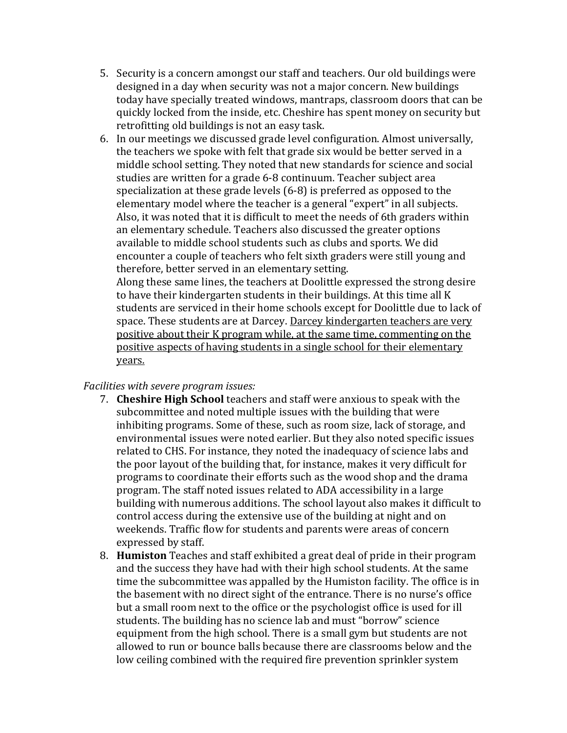- 5. Security is a concern amongst our staff and teachers. Our old buildings were designed in a day when security was not a major concern. New buildings today have specially treated windows, mantraps, classroom doors that can be quickly locked from the inside, etc. Cheshire has spent money on security but retrofitting old buildings is not an easy task.
- 6. In our meetings we discussed grade level configuration. Almost universally, the teachers we spoke with felt that grade six would be better served in a middle school setting. They noted that new standards for science and social studies are written for a grade 6-8 continuum. Teacher subject area specialization at these grade levels (6-8) is preferred as opposed to the elementary model where the teacher is a general "expert" in all subjects. Also, it was noted that it is difficult to meet the needs of 6th graders within an elementary schedule. Teachers also discussed the greater options available to middle school students such as clubs and sports. We did encounter a couple of teachers who felt sixth graders were still young and therefore, better served in an elementary setting.

Along these same lines, the teachers at Doolittle expressed the strong desire to have their kindergarten students in their buildings. At this time all K students are serviced in their home schools except for Doolittle due to lack of space. These students are at Darcey. Darcey kindergarten teachers are very positive about their K program while, at the same time, commenting on the positive aspects of having students in a single school for their elementary years.

## *Facilities with severe program issues:*

- 7. **Cheshire High School** teachers and staff were anxious to speak with the subcommittee and noted multiple issues with the building that were inhibiting programs. Some of these, such as room size, lack of storage, and environmental issues were noted earlier. But they also noted specific issues related to CHS. For instance, they noted the inadequacy of science labs and the poor layout of the building that, for instance, makes it very difficult for programs to coordinate their efforts such as the wood shop and the drama program. The staff noted issues related to ADA accessibility in a large building with numerous additions. The school layout also makes it difficult to control access during the extensive use of the building at night and on weekends. Traffic flow for students and parents were areas of concern expressed by staff.
- 8. **Humiston** Teaches and staff exhibited a great deal of pride in their program and the success they have had with their high school students. At the same time the subcommittee was appalled by the Humiston facility. The office is in the basement with no direct sight of the entrance. There is no nurse's office but a small room next to the office or the psychologist office is used for ill students. The building has no science lab and must "borrow" science equipment from the high school. There is a small gym but students are not allowed to run or bounce balls because there are classrooms below and the low ceiling combined with the required fire prevention sprinkler system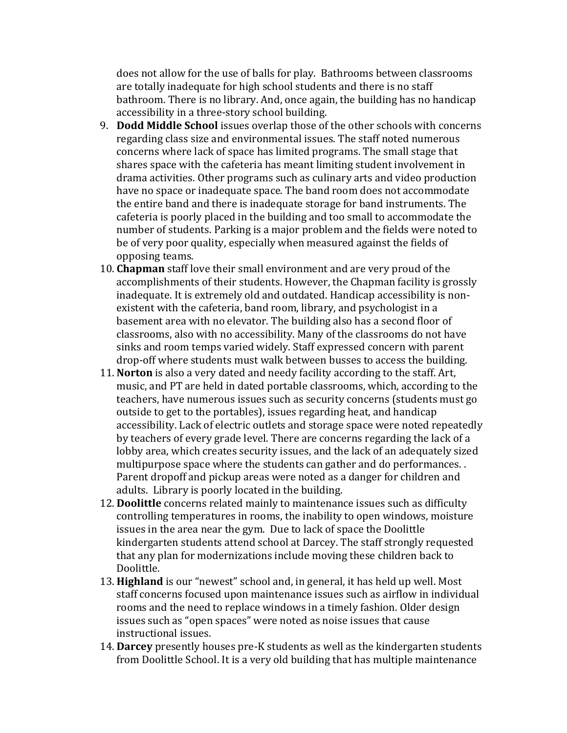does not allow for the use of balls for play. Bathrooms between classrooms are totally inadequate for high school students and there is no staff bathroom. There is no library. And, once again, the building has no handicap accessibility in a three-story school building.

- 9. **Dodd Middle School** issues overlap those of the other schools with concerns regarding class size and environmental issues. The staff noted numerous concerns where lack of space has limited programs. The small stage that shares space with the cafeteria has meant limiting student involvement in drama activities. Other programs such as culinary arts and video production have no space or inadequate space. The band room does not accommodate the entire band and there is inadequate storage for band instruments. The cafeteria is poorly placed in the building and too small to accommodate the number of students. Parking is a major problem and the fields were noted to be of very poor quality, especially when measured against the fields of opposing teams.
- 10. **Chapman** staff love their small environment and are very proud of the accomplishments of their students. However, the Chapman facility is grossly inadequate. It is extremely old and outdated. Handicap accessibility is nonexistent with the cafeteria, band room, library, and psychologist in a basement area with no elevator. The building also has a second floor of classrooms, also with no accessibility. Many of the classrooms do not have sinks and room temps varied widely. Staff expressed concern with parent drop-off where students must walk between busses to access the building.
- 11. **Norton** is also a very dated and needy facility according to the staff. Art, music, and PT are held in dated portable classrooms, which, according to the teachers, have numerous issues such as security concerns (students must go outside to get to the portables), issues regarding heat, and handicap accessibility. Lack of electric outlets and storage space were noted repeatedly by teachers of every grade level. There are concerns regarding the lack of a lobby area, which creates security issues, and the lack of an adequately sized multipurpose space where the students can gather and do performances. . Parent dropoff and pickup areas were noted as a danger for children and adults. Library is poorly located in the building.
- 12. **Doolittle** concerns related mainly to maintenance issues such as difficulty controlling temperatures in rooms, the inability to open windows, moisture issues in the area near the gym. Due to lack of space the Doolittle kindergarten students attend school at Darcey. The staff strongly requested that any plan for modernizations include moving these children back to Doolittle.
- 13. **Highland** is our "newest" school and, in general, it has held up well. Most staff concerns focused upon maintenance issues such as airflow in individual rooms and the need to replace windows in a timely fashion. Older design issues such as "open spaces" were noted as noise issues that cause instructional issues.
- 14. **Darcey** presently houses pre-K students as well as the kindergarten students from Doolittle School. It is a very old building that has multiple maintenance